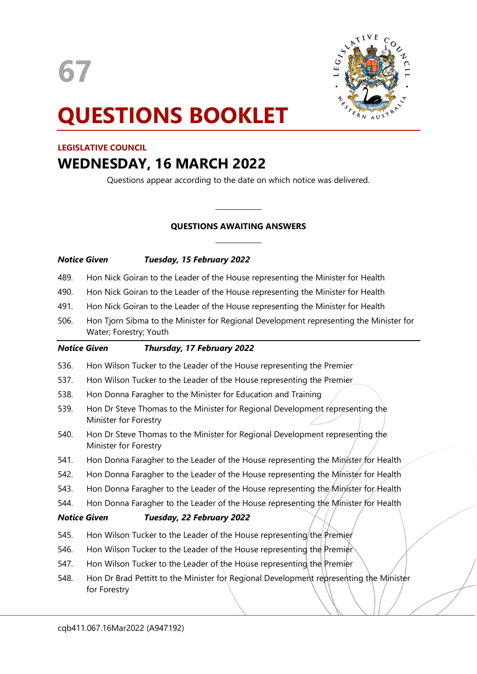67



# QUESTIONS BOOKLET

# LEGISLATIVE COUNCIL

# WEDNESDAY, 16 MARCH 2022

Questions appear according to the date on which notice was delivered.

# QUESTIONS AWAITING ANSWERS

| Notice Given | Tuesday, 15 February 2022 |  |  |
|--------------|---------------------------|--|--|
|              |                           |  |  |

489. Hon Nick Goiran to the Leader of the House representing the Minister for Health

 $\overline{a}$ 

 $\overline{a}$ 

- 490. Hon Nick Goiran to the Leader of the House representing the Minister for Health
- 491. Hon Nick Goiran to the Leader of the House representing the Minister for Health
- 506. Hon Tjorn Sibma to the Minister for Regional Development representing the Minister for Water; Forestry; Youth

| <b>Notice Given</b> | Thursday, 17 February 2022                                                                             |
|---------------------|--------------------------------------------------------------------------------------------------------|
| 536.                | Hon Wilson Tucker to the Leader of the House representing the Premier                                  |
| 537.                | Hon Wilson Tucker to the Leader of the House representing the Premier                                  |
| 538.                | Hon Donna Faragher to the Minister for Education and Training                                          |
| 539.                | Hon Dr Steve Thomas to the Minister for Regional Development representing the<br>Minister for Forestry |
| 540.                | Hon Dr Steve Thomas to the Minister for Regional Development representing the<br>Minister for Forestry |
| 541.                | Hon Donna Faragher to the Leader of the House representing the Minister for Health                     |
| 542.                | Hon Donna Faragher to the Leader of the House representing the Minister for Health                     |
| 543.                | Hon Donna Faragher to the Leader of the House representing the Minister for Health                     |
| 544.                | Hon Donna Faragher to the Leader of the House representing the Minister for Health                     |
|                     | <b>Notice Given</b><br>Tuesday, 22 February 2022                                                       |
| 545.                | Hon Wilson Tucker to the Leader of the House representing the Premier                                  |
| 546.                | Hon Wilson Tucker to the Leader of the House representing the Premier                                  |
| 547.                | Hon Wilson Tucker to the Leader of the House representing the Premier                                  |
| 548.                | Hon Dr Brad Pettitt to the Minister for Regional Development representing the Minister<br>for Forestry |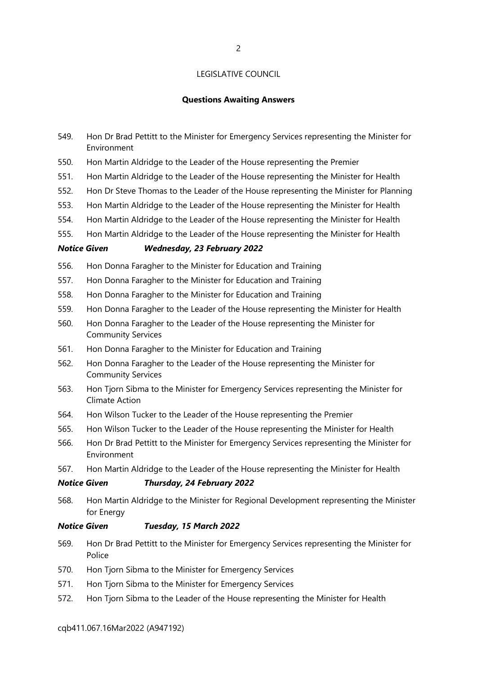#### Questions Awaiting Answers

- 549. Hon Dr Brad Pettitt to the Minister for Emergency Services representing the Minister for Environment
- 550. Hon Martin Aldridge to the Leader of the House representing the Premier
- 551. Hon Martin Aldridge to the Leader of the House representing the Minister for Health
- 552. Hon Dr Steve Thomas to the Leader of the House representing the Minister for Planning
- 553. Hon Martin Aldridge to the Leader of the House representing the Minister for Health
- 554. Hon Martin Aldridge to the Leader of the House representing the Minister for Health
- 555. Hon Martin Aldridge to the Leader of the House representing the Minister for Health

#### Notice Given Wednesday, 23 February 2022

- 556. Hon Donna Faragher to the Minister for Education and Training
- 557. Hon Donna Faragher to the Minister for Education and Training
- 558. Hon Donna Faragher to the Minister for Education and Training
- 559. Hon Donna Faragher to the Leader of the House representing the Minister for Health
- 560. Hon Donna Faragher to the Leader of the House representing the Minister for Community Services
- 561. Hon Donna Faragher to the Minister for Education and Training
- 562. Hon Donna Faragher to the Leader of the House representing the Minister for Community Services
- 563. Hon Tjorn Sibma to the Minister for Emergency Services representing the Minister for Climate Action
- 564. Hon Wilson Tucker to the Leader of the House representing the Premier
- 565. Hon Wilson Tucker to the Leader of the House representing the Minister for Health
- 566. Hon Dr Brad Pettitt to the Minister for Emergency Services representing the Minister for Environment
- 567. Hon Martin Aldridge to the Leader of the House representing the Minister for Health

#### Notice Given Thursday, 24 February 2022

568. Hon Martin Aldridge to the Minister for Regional Development representing the Minister for Energy

#### Notice Given Tuesday, 15 March 2022

- 569. Hon Dr Brad Pettitt to the Minister for Emergency Services representing the Minister for Police
- 570. Hon Tjorn Sibma to the Minister for Emergency Services
- 571. Hon Tjorn Sibma to the Minister for Emergency Services
- 572. Hon Tjorn Sibma to the Leader of the House representing the Minister for Health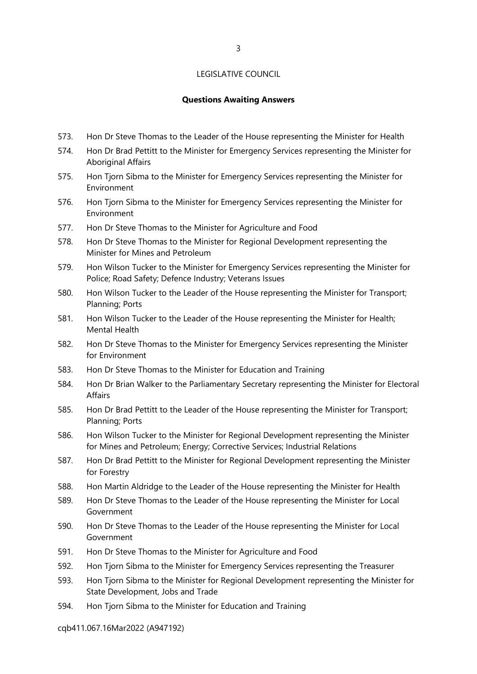#### Questions Awaiting Answers

- 573. Hon Dr Steve Thomas to the Leader of the House representing the Minister for Health
- 574. Hon Dr Brad Pettitt to the Minister for Emergency Services representing the Minister for Aboriginal Affairs
- 575. Hon Tjorn Sibma to the Minister for Emergency Services representing the Minister for Environment
- 576. Hon Tjorn Sibma to the Minister for Emergency Services representing the Minister for Environment
- 577. Hon Dr Steve Thomas to the Minister for Agriculture and Food
- 578. Hon Dr Steve Thomas to the Minister for Regional Development representing the Minister for Mines and Petroleum
- 579. Hon Wilson Tucker to the Minister for Emergency Services representing the Minister for Police; Road Safety; Defence Industry; Veterans Issues
- 580. Hon Wilson Tucker to the Leader of the House representing the Minister for Transport; Planning; Ports
- 581. Hon Wilson Tucker to the Leader of the House representing the Minister for Health; Mental Health
- 582. Hon Dr Steve Thomas to the Minister for Emergency Services representing the Minister for Environment
- 583. Hon Dr Steve Thomas to the Minister for Education and Training
- 584. Hon Dr Brian Walker to the Parliamentary Secretary representing the Minister for Electoral Affairs
- 585. Hon Dr Brad Pettitt to the Leader of the House representing the Minister for Transport; Planning; Ports
- 586. Hon Wilson Tucker to the Minister for Regional Development representing the Minister for Mines and Petroleum; Energy; Corrective Services; Industrial Relations
- 587. Hon Dr Brad Pettitt to the Minister for Regional Development representing the Minister for Forestry
- 588. Hon Martin Aldridge to the Leader of the House representing the Minister for Health
- 589. Hon Dr Steve Thomas to the Leader of the House representing the Minister for Local Government
- 590. Hon Dr Steve Thomas to the Leader of the House representing the Minister for Local Government
- 591. Hon Dr Steve Thomas to the Minister for Agriculture and Food
- 592. Hon Tjorn Sibma to the Minister for Emergency Services representing the Treasurer
- 593. Hon Tjorn Sibma to the Minister for Regional Development representing the Minister for State Development, Jobs and Trade
- 594. Hon Tjorn Sibma to the Minister for Education and Training

cqb411.067.16Mar2022 (A947192)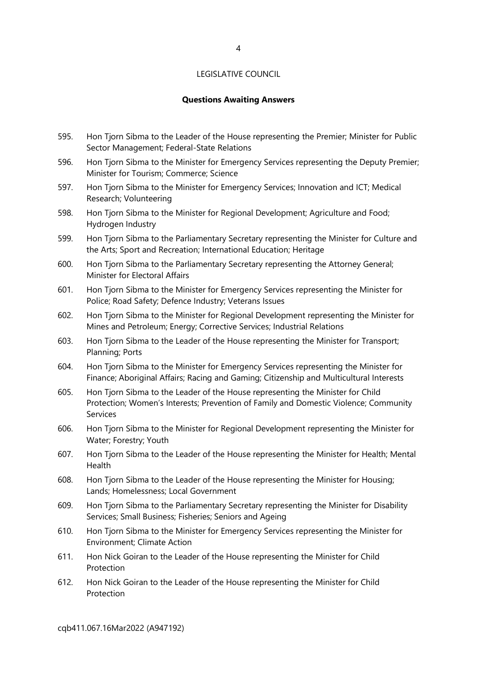# Questions Awaiting Answers

- 595. Hon Tjorn Sibma to the Leader of the House representing the Premier; Minister for Public Sector Management; Federal-State Relations
- 596. Hon Tjorn Sibma to the Minister for Emergency Services representing the Deputy Premier; Minister for Tourism; Commerce; Science
- 597. Hon Tjorn Sibma to the Minister for Emergency Services; Innovation and ICT; Medical Research; Volunteering
- 598. Hon Tjorn Sibma to the Minister for Regional Development; Agriculture and Food; Hydrogen Industry
- 599. Hon Tjorn Sibma to the Parliamentary Secretary representing the Minister for Culture and the Arts; Sport and Recreation; International Education; Heritage
- 600. Hon Tjorn Sibma to the Parliamentary Secretary representing the Attorney General; Minister for Electoral Affairs
- 601. Hon Tjorn Sibma to the Minister for Emergency Services representing the Minister for Police; Road Safety; Defence Industry; Veterans Issues
- 602. Hon Tjorn Sibma to the Minister for Regional Development representing the Minister for Mines and Petroleum; Energy; Corrective Services; Industrial Relations
- 603. Hon Tjorn Sibma to the Leader of the House representing the Minister for Transport; Planning; Ports
- 604. Hon Tjorn Sibma to the Minister for Emergency Services representing the Minister for Finance; Aboriginal Affairs; Racing and Gaming; Citizenship and Multicultural Interests
- 605. Hon Tjorn Sibma to the Leader of the House representing the Minister for Child Protection; Women's Interests; Prevention of Family and Domestic Violence; Community Services
- 606. Hon Tjorn Sibma to the Minister for Regional Development representing the Minister for Water; Forestry; Youth
- 607. Hon Tjorn Sibma to the Leader of the House representing the Minister for Health; Mental Health
- 608. Hon Tjorn Sibma to the Leader of the House representing the Minister for Housing; Lands; Homelessness; Local Government
- 609. Hon Tjorn Sibma to the Parliamentary Secretary representing the Minister for Disability Services; Small Business; Fisheries; Seniors and Ageing
- 610. Hon Tjorn Sibma to the Minister for Emergency Services representing the Minister for Environment; Climate Action
- 611. Hon Nick Goiran to the Leader of the House representing the Minister for Child Protection
- 612. Hon Nick Goiran to the Leader of the House representing the Minister for Child Protection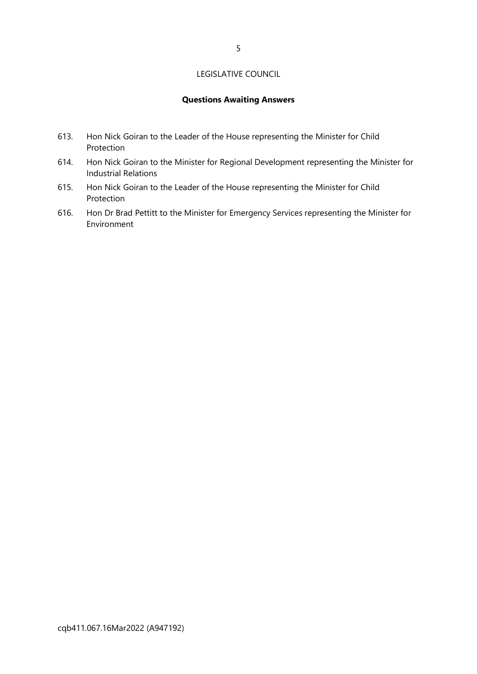# Questions Awaiting Answers

- 613. Hon Nick Goiran to the Leader of the House representing the Minister for Child Protection
- 614. Hon Nick Goiran to the Minister for Regional Development representing the Minister for Industrial Relations
- 615. Hon Nick Goiran to the Leader of the House representing the Minister for Child Protection
- 616. Hon Dr Brad Pettitt to the Minister for Emergency Services representing the Minister for Environment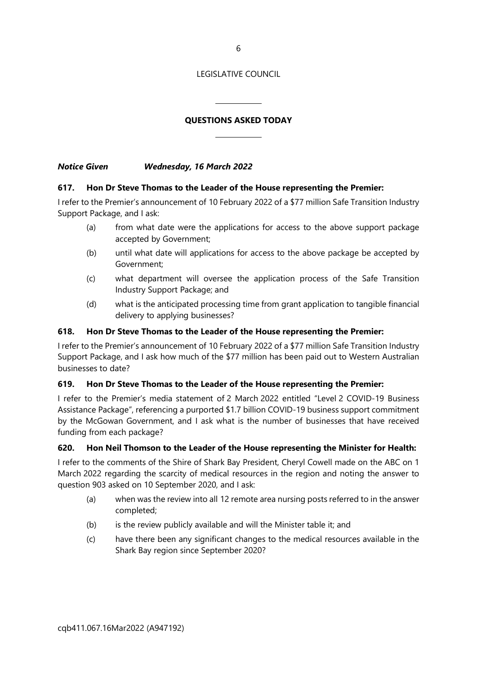6

#### LEGISLATIVE COUNCIL

# QUESTIONS ASKED TODAY

Notice Given Wednesday, 16 March 2022

# 617. Hon Dr Steve Thomas to the Leader of the House representing the Premier:

 $\overline{a}$ 

 $\overline{a}$ 

I refer to the Premier's announcement of 10 February 2022 of a \$77 million Safe Transition Industry Support Package, and I ask:

- (a) from what date were the applications for access to the above support package accepted by Government;
- (b) until what date will applications for access to the above package be accepted by Government;
- (c) what department will oversee the application process of the Safe Transition Industry Support Package; and
- (d) what is the anticipated processing time from grant application to tangible financial delivery to applying businesses?

# 618. Hon Dr Steve Thomas to the Leader of the House representing the Premier:

I refer to the Premier's announcement of 10 February 2022 of a \$77 million Safe Transition Industry Support Package, and I ask how much of the \$77 million has been paid out to Western Australian businesses to date?

#### 619. Hon Dr Steve Thomas to the Leader of the House representing the Premier:

I refer to the Premier's media statement of 2 March 2022 entitled "Level 2 COVID-19 Business Assistance Package", referencing a purported \$1.7 billion COVID-19 business support commitment by the McGowan Government, and I ask what is the number of businesses that have received funding from each package?

# 620. Hon Neil Thomson to the Leader of the House representing the Minister for Health:

I refer to the comments of the Shire of Shark Bay President, Cheryl Cowell made on the ABC on 1 March 2022 regarding the scarcity of medical resources in the region and noting the answer to question 903 asked on 10 September 2020, and I ask:

- (a) when was the review into all 12 remote area nursing posts referred to in the answer completed;
- (b) is the review publicly available and will the Minister table it; and
- (c) have there been any significant changes to the medical resources available in the Shark Bay region since September 2020?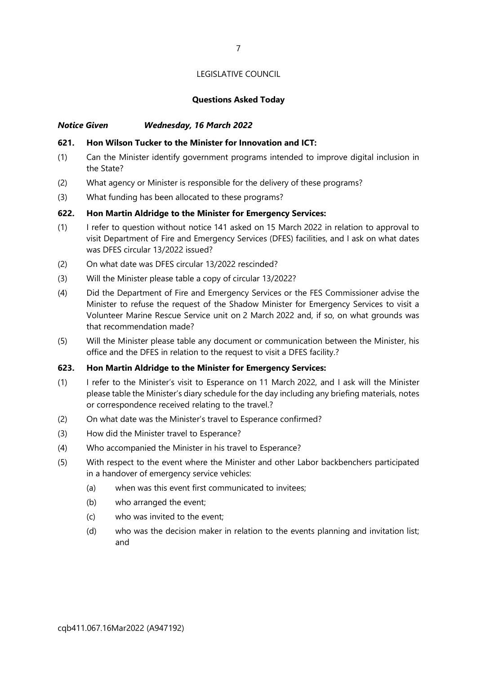#### Questions Asked Today

# Notice Given Wednesday, 16 March 2022

#### 621. Hon Wilson Tucker to the Minister for Innovation and ICT:

- (1) Can the Minister identify government programs intended to improve digital inclusion in the State?
- (2) What agency or Minister is responsible for the delivery of these programs?
- (3) What funding has been allocated to these programs?

# 622. Hon Martin Aldridge to the Minister for Emergency Services:

- (1) I refer to question without notice 141 asked on 15 March 2022 in relation to approval to visit Department of Fire and Emergency Services (DFES) facilities, and I ask on what dates was DFES circular 13/2022 issued?
- (2) On what date was DFES circular 13/2022 rescinded?
- (3) Will the Minister please table a copy of circular 13/2022?
- (4) Did the Department of Fire and Emergency Services or the FES Commissioner advise the Minister to refuse the request of the Shadow Minister for Emergency Services to visit a Volunteer Marine Rescue Service unit on 2 March 2022 and, if so, on what grounds was that recommendation made?
- (5) Will the Minister please table any document or communication between the Minister, his office and the DFES in relation to the request to visit a DFES facility.?

#### 623. Hon Martin Aldridge to the Minister for Emergency Services:

- (1) I refer to the Minister's visit to Esperance on 11 March 2022, and I ask will the Minister please table the Minister's diary schedule for the day including any briefing materials, notes or correspondence received relating to the travel.?
- (2) On what date was the Minister's travel to Esperance confirmed?
- (3) How did the Minister travel to Esperance?
- (4) Who accompanied the Minister in his travel to Esperance?
- (5) With respect to the event where the Minister and other Labor backbenchers participated in a handover of emergency service vehicles:
	- (a) when was this event first communicated to invitees;
	- (b) who arranged the event;
	- (c) who was invited to the event;
	- (d) who was the decision maker in relation to the events planning and invitation list; and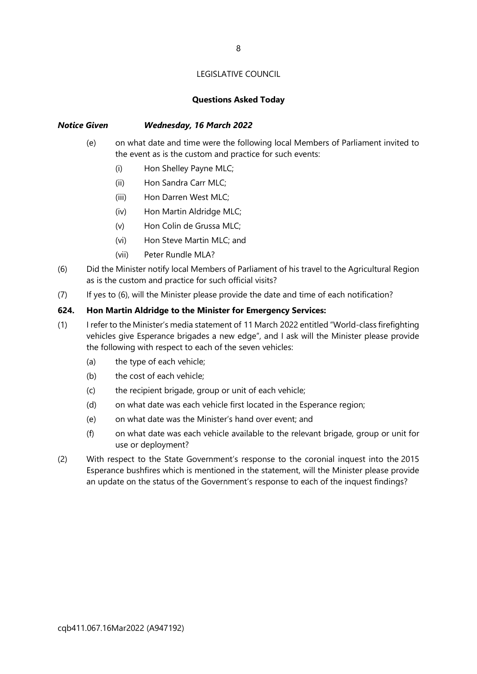#### Questions Asked Today

# Notice Given Wednesday, 16 March 2022

- (e) on what date and time were the following local Members of Parliament invited to the event as is the custom and practice for such events:
	- (i) Hon Shelley Payne MLC;
	- (ii) Hon Sandra Carr MLC;
	- (iii) Hon Darren West MLC;
	- (iv) Hon Martin Aldridge MLC;
	- (v) Hon Colin de Grussa MLC;
	- (vi) Hon Steve Martin MLC; and
	- (vii) Peter Rundle MLA?
- (6) Did the Minister notify local Members of Parliament of his travel to the Agricultural Region as is the custom and practice for such official visits?
- (7) If yes to (6), will the Minister please provide the date and time of each notification?

#### 624. Hon Martin Aldridge to the Minister for Emergency Services:

- (1) I refer to the Minister's media statement of 11 March 2022 entitled "World-class firefighting vehicles give Esperance brigades a new edge", and I ask will the Minister please provide the following with respect to each of the seven vehicles:
	- (a) the type of each vehicle;
	- (b) the cost of each vehicle;
	- (c) the recipient brigade, group or unit of each vehicle;
	- (d) on what date was each vehicle first located in the Esperance region;
	- (e) on what date was the Minister's hand over event; and
	- (f) on what date was each vehicle available to the relevant brigade, group or unit for use or deployment?
- (2) With respect to the State Government's response to the coronial inquest into the 2015 Esperance bushfires which is mentioned in the statement, will the Minister please provide an update on the status of the Government's response to each of the inquest findings?